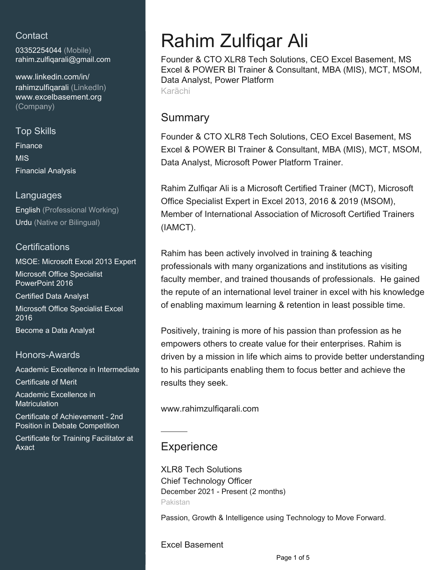## **Contact**

03352254044 (Mobile) [rahim.zulfiqarali@gmail.com](mailto:rahim.zulfiqarali@gmail.com)

[www.linkedin.com/in/](https://www.linkedin.com/in/rahimzulfiqarali?jobid=1234&lipi=urn%3Ali%3Apage%3Ad_jobs_easyapply_pdfgenresume%3BhXiIPctJStKsARdHWJ5b9g%3D%3D&licu=urn%3Ali%3Acontrol%3Ad_jobs_easyapply_pdfgenresume-v02_profile) [rahimzulfiqarali \(LinkedIn\)](https://www.linkedin.com/in/rahimzulfiqarali?jobid=1234&lipi=urn%3Ali%3Apage%3Ad_jobs_easyapply_pdfgenresume%3BhXiIPctJStKsARdHWJ5b9g%3D%3D&licu=urn%3Ali%3Acontrol%3Ad_jobs_easyapply_pdfgenresume-v02_profile) [www.excelbasement.org](http://www.excelbasement.org) [\(Company\)](http://www.excelbasement.org)

# Top Skills Finance

MIS Financial Analysis

## Languages

English (Professional Working) Urdu (Native or Bilingual)

## **Certifications**

MSOE: Microsoft Excel 2013 Expert Microsoft Office Specialist PowerPoint 2016 Certified Data Analyst

Microsoft Office Specialist Excel 2016

Become a Data Analyst

#### Honors-Awards

Academic Excellence in Intermediate

Certificate of Merit

Academic Excellence in **Matriculation** 

Certificate of Achievement - 2nd Position in Debate Competition

Certificate for Training Facilitator at Axact

# Rahim Zulfiqar Ali

Founder & CTO XLR8 Tech Solutions, CEO Excel Basement, MS Excel & POWER BI Trainer & Consultant, MBA (MIS), MCT, MSOM, Data Analyst, Power Platform Karāchi

## Summary

Founder & CTO XLR8 Tech Solutions, CEO Excel Basement, MS Excel & POWER BI Trainer & Consultant, MBA (MIS), MCT, MSOM, Data Analyst, Microsoft Power Platform Trainer.

Rahim Zulfiqar Ali is a Microsoft Certified Trainer (MCT), Microsoft Office Specialist Expert in Excel 2013, 2016 & 2019 (MSOM), Member of International Association of Microsoft Certified Trainers (IAMCT).

Rahim has been actively involved in training & teaching professionals with many organizations and institutions as visiting faculty member, and trained thousands of professionals. He gained the repute of an international level trainer in excel with his knowledge of enabling maximum learning & retention in least possible time.

Positively, training is more of his passion than profession as he empowers others to create value for their enterprises. Rahim is driven by a mission in life which aims to provide better understanding to his participants enabling them to focus better and achieve the results they seek.

www.rahimzulfiqarali.com

## **Experience**

XLR8 Tech Solutions Chief Technology Officer December 2021 - Present (2 months) Pakistan

Passion, Growth & Intelligence using Technology to Move Forward.

#### Excel Basement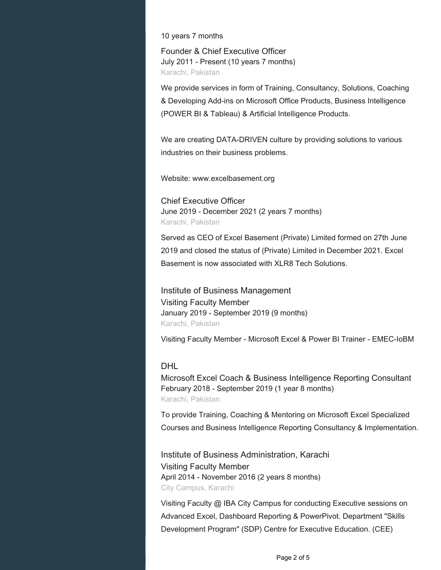10 years 7 months

Founder & Chief Executive Officer July 2011 - Present (10 years 7 months) Karachi, Pakistan

We provide services in form of Training, Consultancy, Solutions, Coaching & Developing Add-ins on Microsoft Office Products, Business Intelligence (POWER BI & Tableau) & Artificial Intelligence Products.

We are creating DATA-DRIVEN culture by providing solutions to various industries on their business problems.

Website: www.excelbasement.org

Chief Executive Officer June 2019 - December 2021 (2 years 7 months) Karachi, Pakistan

Served as CEO of Excel Basement (Private) Limited formed on 27th June 2019 and closed the status of (Private) Limited in December 2021. Excel Basement is now associated with XLR8 Tech Solutions.

Institute of Business Management Visiting Faculty Member January 2019 - September 2019 (9 months) Karachi, Pakistan

Visiting Faculty Member - Microsoft Excel & Power BI Trainer - EMEC-IoBM

#### DHL

Microsoft Excel Coach & Business Intelligence Reporting Consultant February 2018 - September 2019 (1 year 8 months) Karachi, Pakistan

To provide Training, Coaching & Mentoring on Microsoft Excel Specialized Courses and Business Intelligence Reporting Consultancy & Implementation.

Institute of Business Administration, Karachi Visiting Faculty Member April 2014 - November 2016 (2 years 8 months) City Campus, Karachi

Visiting Faculty @ IBA City Campus for conducting Executive sessions on Advanced Excel, Dashboard Reporting & PowerPivot. Department "Skills Development Program" (SDP) Centre for Executive Education. (CEE)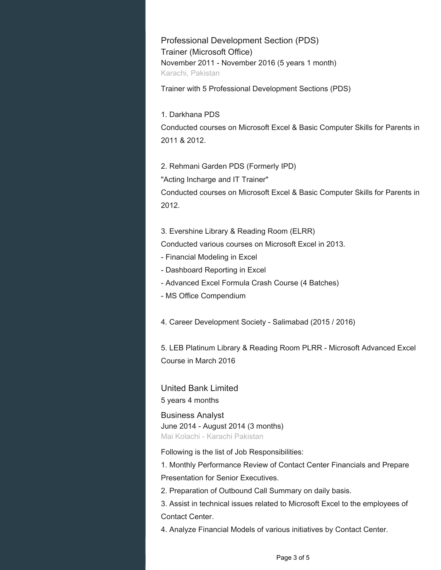Professional Development Section (PDS) Trainer (Microsoft Office) November 2011 - November 2016 (5 years 1 month) Karachi, Pakistan

Trainer with 5 Professional Development Sections (PDS)

1. Darkhana PDS Conducted courses on Microsoft Excel & Basic Computer Skills for Parents in 2011 & 2012.

2. Rehmani Garden PDS (Formerly IPD) "Acting Incharge and IT Trainer" Conducted courses on Microsoft Excel & Basic Computer Skills for Parents in 2012.

3. Evershine Library & Reading Room (ELRR)

Conducted various courses on Microsoft Excel in 2013.

- Financial Modeling in Excel
- Dashboard Reporting in Excel
- Advanced Excel Formula Crash Course (4 Batches)
- MS Office Compendium

4. Career Development Society - Salimabad (2015 / 2016)

5. LEB Platinum Library & Reading Room PLRR - Microsoft Advanced Excel Course in March 2016

United Bank Limited 5 years 4 months

Business Analyst June 2014 - August 2014 (3 months) Mai Kolachi - Karachi Pakistan

Following is the list of Job Responsibilities:

1. Monthly Performance Review of Contact Center Financials and Prepare Presentation for Senior Executives.

2. Preparation of Outbound Call Summary on daily basis.

3. Assist in technical issues related to Microsoft Excel to the employees of Contact Center.

4. Analyze Financial Models of various initiatives by Contact Center.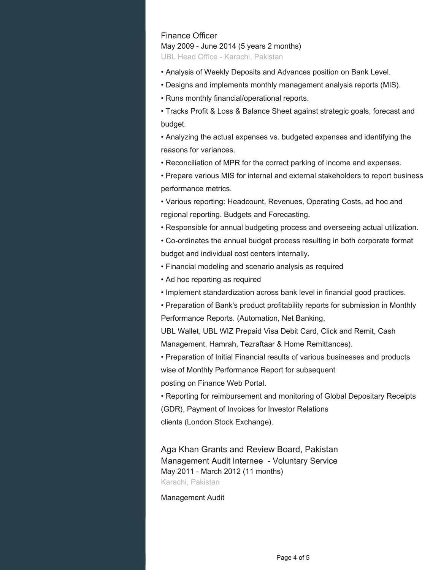### Finance Officer

May 2009 - June 2014 (5 years 2 months)

UBL Head Office - Karachi, Pakistan

- Analysis of Weekly Deposits and Advances position on Bank Level.
- Designs and implements monthly management analysis reports (MIS).
- Runs monthly financial/operational reports.

• Tracks Profit & Loss & Balance Sheet against strategic goals, forecast and budget.

• Analyzing the actual expenses vs. budgeted expenses and identifying the reasons for variances.

• Reconciliation of MPR for the correct parking of income and expenses.

• Prepare various MIS for internal and external stakeholders to report business performance metrics.

• Various reporting: Headcount, Revenues, Operating Costs, ad hoc and regional reporting. Budgets and Forecasting.

• Responsible for annual budgeting process and overseeing actual utilization.

• Co-ordinates the annual budget process resulting in both corporate format budget and individual cost centers internally.

- Financial modeling and scenario analysis as required
- Ad hoc reporting as required
- Implement standardization across bank level in financial good practices.

• Preparation of Bank's product profitability reports for submission in Monthly Performance Reports. (Automation, Net Banking,

UBL Wallet, UBL WIZ Prepaid Visa Debit Card, Click and Remit, Cash Management, Hamrah, Tezraftaar & Home Remittances).

• Preparation of Initial Financial results of various businesses and products wise of Monthly Performance Report for subsequent

posting on Finance Web Portal.

• Reporting for reimbursement and monitoring of Global Depositary Receipts (GDR), Payment of Invoices for Investor Relations

clients (London Stock Exchange).

Aga Khan Grants and Review Board, Pakistan Management Audit Internee - Voluntary Service May 2011 - March 2012 (11 months) Karachi, Pakistan

#### Management Audit